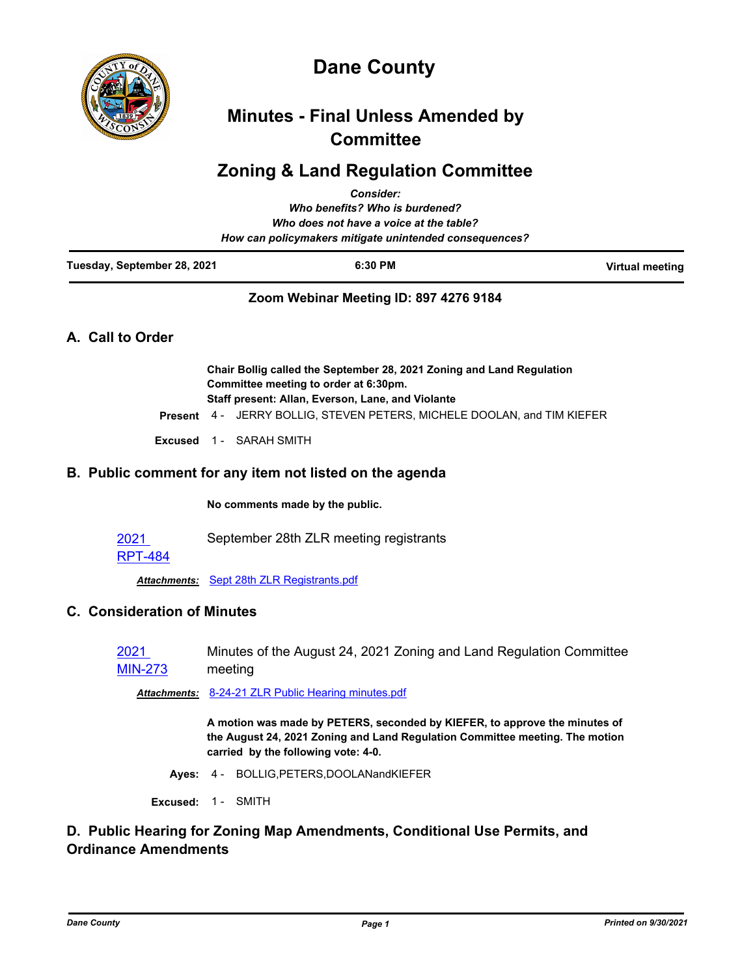

# **Dane County**

# **Minutes - Final Unless Amended by Committee**

# **Zoning & Land Regulation Committee**

|                                                        | <b>Consider:</b>                                                      |                 |  |  |  |  |
|--------------------------------------------------------|-----------------------------------------------------------------------|-----------------|--|--|--|--|
|                                                        | Who benefits? Who is burdened?                                        |                 |  |  |  |  |
|                                                        | Who does not have a voice at the table?                               |                 |  |  |  |  |
| How can policymakers mitigate unintended consequences? |                                                                       |                 |  |  |  |  |
| Tuesday, September 28, 2021                            | 6:30 PM                                                               | Virtual meeting |  |  |  |  |
|                                                        | Zoom Webinar Meeting ID: 897 4276 9184                                |                 |  |  |  |  |
| A. Call to Order                                       |                                                                       |                 |  |  |  |  |
|                                                        | Chair Bollig called the September 28, 2021 Zoning and Land Regulation |                 |  |  |  |  |
|                                                        | Committee meeting to order at 6:30pm.                                 |                 |  |  |  |  |
|                                                        | Staff present: Allan, Everson, Lane, and Violante                     |                 |  |  |  |  |
| <b>Present</b> 4 -                                     | JERRY BOLLIG, STEVEN PETERS, MICHELE DOOLAN, and TIM KIEFER           |                 |  |  |  |  |

**Excused** 1 - SARAH SMITH

## **B. Public comment for any item not listed on the agenda**

**No comments made by the public.**

2021 September 28th ZLR meeting registrants

## [RPT-484](http://dane.legistar.com/gateway.aspx?m=l&id=/matter.aspx?key=21185)

*Attachments:* [Sept 28th ZLR Registrants.pdf](http://dane.legistar.com/gateway.aspx?M=F&ID=669b388d-c6cb-4cc8-960d-71db83320571.pdf)

# **C. Consideration of Minutes**

2021 [MIN-273](http://dane.legistar.com/gateway.aspx?m=l&id=/matter.aspx?key=20997) Minutes of the August 24, 2021 Zoning and Land Regulation Committee meeting

*Attachments:* [8-24-21 ZLR Public Hearing minutes.pdf](http://dane.legistar.com/gateway.aspx?M=F&ID=8432d35d-700d-4750-bd8f-d542722dc2e8.pdf)

**A motion was made by PETERS, seconded by KIEFER, to approve the minutes of the August 24, 2021 Zoning and Land Regulation Committee meeting. The motion carried by the following vote: 4-0.**

- **Ayes:** 4 BOLLIG,PETERS,DOOLANandKIEFER
- **Excused:** 1 SMITH

# **D. Public Hearing for Zoning Map Amendments, Conditional Use Permits, and Ordinance Amendments**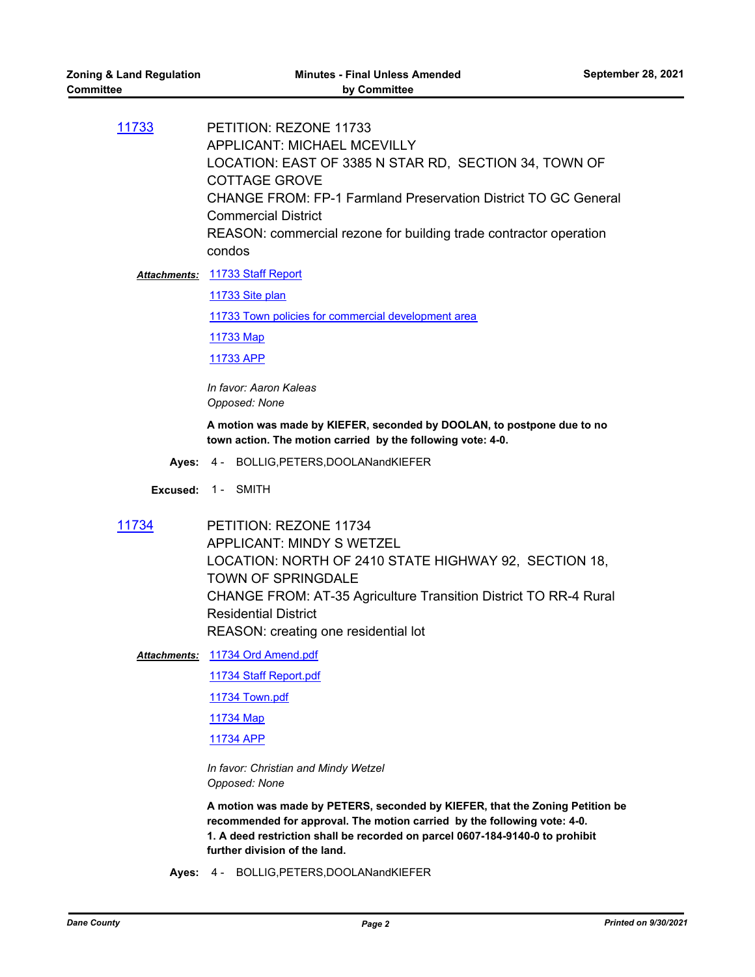| 11733 | PETITION: REZONE 11733                                                |
|-------|-----------------------------------------------------------------------|
|       | <b>APPLICANT: MICHAEL MCEVILLY</b>                                    |
|       | LOCATION: EAST OF 3385 N STAR RD, SECTION 34, TOWN OF                 |
|       | <b>COTTAGE GROVE</b>                                                  |
|       | <b>CHANGE FROM: FP-1 Farmland Preservation District TO GC General</b> |
|       | <b>Commercial District</b>                                            |
|       | REASON: commercial rezone for building trade contractor operation     |
|       | condos                                                                |

[11733 Staff Report](http://dane.legistar.com/gateway.aspx?M=F&ID=4dc1f3f2-6cb3-460a-b0d0-f3bf424715a3.pdf) *Attachments:*

[11733 Site plan](http://dane.legistar.com/gateway.aspx?M=F&ID=3f92447f-6ba5-4e6e-9088-0a310d9821cc.pdf)

[11733 Town policies for commercial development area](http://dane.legistar.com/gateway.aspx?M=F&ID=712ed362-d09a-4e2e-ae2c-d645ab860b13.pdf)

[11733 Map](http://dane.legistar.com/gateway.aspx?M=F&ID=027bf10d-1930-4c32-bc43-d3bf67539dbf.pdf)

[11733 APP](http://dane.legistar.com/gateway.aspx?M=F&ID=d3c90804-531c-4d54-a411-66a92e101426.pdf)

*In favor: Aaron Kaleas Opposed: None*

**A motion was made by KIEFER, seconded by DOOLAN, to postpone due to no town action. The motion carried by the following vote: 4-0.**

**Ayes:** 4 - BOLLIG,PETERS,DOOLANandKIEFER

**Excused:** 1 - SMITH

[11734](http://dane.legistar.com/gateway.aspx?m=l&id=/matter.aspx?key=20578) PETITION: REZONE 11734 APPLICANT: MINDY S WETZEL LOCATION: NORTH OF 2410 STATE HIGHWAY 92, SECTION 18, TOWN OF SPRINGDALE CHANGE FROM: AT-35 Agriculture Transition District TO RR-4 Rural Residential District REASON: creating one residential lot

#### [11734 Ord Amend.pdf](http://dane.legistar.com/gateway.aspx?M=F&ID=a7547a43-013c-4f2e-81f2-8771bab45e76.pdf) *Attachments:*

[11734 Staff Report.pdf](http://dane.legistar.com/gateway.aspx?M=F&ID=90dcbfc4-57c3-4c95-8bcb-26845f4883b7.pdf)

[11734 Town.pdf](http://dane.legistar.com/gateway.aspx?M=F&ID=d5ef59ca-0401-4b7a-b76c-45e5a313fd30.pdf)

[11734 Map](http://dane.legistar.com/gateway.aspx?M=F&ID=8bfb8e1b-3cbe-4c8c-8dca-f3c4a5fd9157.pdf)

[11734 APP](http://dane.legistar.com/gateway.aspx?M=F&ID=bfd34b62-e4b3-4e73-b138-7a3c07ae8b5a.pdf)

*In favor: Christian and Mindy Wetzel Opposed: None*

**A motion was made by PETERS, seconded by KIEFER, that the Zoning Petition be recommended for approval. The motion carried by the following vote: 4-0. 1. A deed restriction shall be recorded on parcel 0607-184-9140-0 to prohibit further division of the land.**

**Ayes:** 4 - BOLLIG,PETERS,DOOLANandKIEFER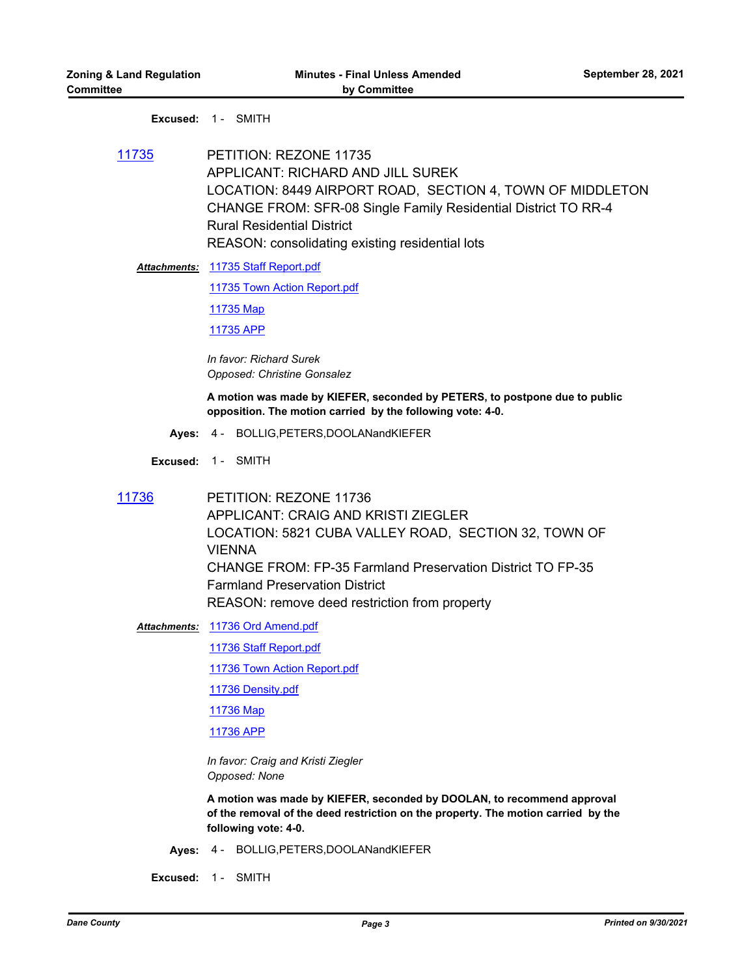#### **Excused:** 1 - SMITH

[11735](http://dane.legistar.com/gateway.aspx?m=l&id=/matter.aspx?key=20579) PETITION: REZONE 11735 APPLICANT: RICHARD AND JILL SUREK LOCATION: 8449 AIRPORT ROAD, SECTION 4, TOWN OF MIDDLETON CHANGE FROM: SFR-08 Single Family Residential District TO RR-4 Rural Residential District REASON: consolidating existing residential lots

Attachments: [11735 Staff Report.pdf](http://dane.legistar.com/gateway.aspx?M=F&ID=1de289dd-56a8-482b-8a65-be4617b74388.pdf)

[11735 Town Action Report.pdf](http://dane.legistar.com/gateway.aspx?M=F&ID=0fcd770e-b48f-4642-bd4e-2a9bb650ebad.pdf)

[11735 Map](http://dane.legistar.com/gateway.aspx?M=F&ID=e3de3f87-696c-4a4f-aa50-6cd35b45ffd2.pdf)

[11735 APP](http://dane.legistar.com/gateway.aspx?M=F&ID=918bf3f2-ccfe-4d04-8f30-264c68d490f6.pdf)

*In favor: Richard Surek Opposed: Christine Gonsalez*

**A motion was made by KIEFER, seconded by PETERS, to postpone due to public opposition. The motion carried by the following vote: 4-0.**

- **Ayes:** 4 BOLLIG,PETERS,DOOLANandKIEFER
- **Excused:** 1 SMITH

[11736](http://dane.legistar.com/gateway.aspx?m=l&id=/matter.aspx?key=20580) PETITION: REZONE 11736 APPLICANT: CRAIG AND KRISTI ZIEGLER LOCATION: 5821 CUBA VALLEY ROAD, SECTION 32, TOWN OF VIENNA CHANGE FROM: FP-35 Farmland Preservation District TO FP-35 Farmland Preservation District REASON: remove deed restriction from property

[11736 Ord Amend.pdf](http://dane.legistar.com/gateway.aspx?M=F&ID=be56bca1-25f3-4a49-8bb3-dabf5fd62abe.pdf) *Attachments:*

[11736 Staff Report.pdf](http://dane.legistar.com/gateway.aspx?M=F&ID=4d9844fc-b495-479b-b655-ed4d65ff9c38.pdf)

[11736 Town Action Report.pdf](http://dane.legistar.com/gateway.aspx?M=F&ID=31deb79a-fc00-4122-bf64-ecd3143177f1.pdf)

[11736 Density.pdf](http://dane.legistar.com/gateway.aspx?M=F&ID=efb08759-8307-4a1f-a8bc-aea1fd5fd143.pdf)

[11736 Map](http://dane.legistar.com/gateway.aspx?M=F&ID=9b7a1837-5b3e-4d83-a2a1-176688ec5446.pdf)

[11736 APP](http://dane.legistar.com/gateway.aspx?M=F&ID=115c116c-4a4e-4bde-819d-0cb0e2829952.pdf)

*In favor: Craig and Kristi Ziegler Opposed: None*

**A motion was made by KIEFER, seconded by DOOLAN, to recommend approval of the removal of the deed restriction on the property. The motion carried by the following vote: 4-0.**

**Ayes:** 4 - BOLLIG,PETERS,DOOLANandKIEFER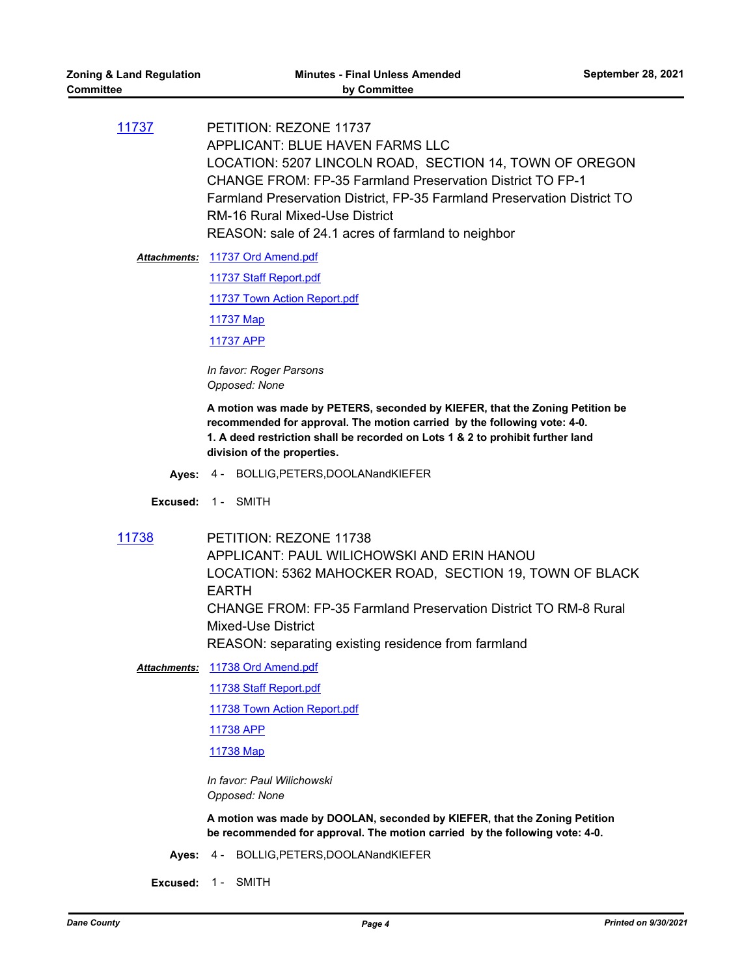[11737](http://dane.legistar.com/gateway.aspx?m=l&id=/matter.aspx?key=20581) PETITION: REZONE 11737 APPLICANT: BLUE HAVEN FARMS LLC LOCATION: 5207 LINCOLN ROAD, SECTION 14, TOWN OF OREGON CHANGE FROM: FP-35 Farmland Preservation District TO FP-1 Farmland Preservation District, FP-35 Farmland Preservation District TO RM-16 Rural Mixed-Use District REASON: sale of 24.1 acres of farmland to neighbor

Attachments: [11737 Ord Amend.pdf](http://dane.legistar.com/gateway.aspx?M=F&ID=70f9ae11-fac6-4c8e-ad80-53c151f31ca6.pdf)

[11737 Staff Report.pdf](http://dane.legistar.com/gateway.aspx?M=F&ID=346887d3-4b12-441c-8c54-668e8f1d2f94.pdf)

[11737 Town Action Report.pdf](http://dane.legistar.com/gateway.aspx?M=F&ID=005d00b6-802c-47a9-9c6b-3053babbf89f.pdf)

[11737 Map](http://dane.legistar.com/gateway.aspx?M=F&ID=8a122736-707c-437b-a53c-c257ee6f9815.pdf)

[11737 APP](http://dane.legistar.com/gateway.aspx?M=F&ID=84177adf-3913-4b20-b870-94672eb6e5e9.pdf)

*In favor: Roger Parsons Opposed: None*

**A motion was made by PETERS, seconded by KIEFER, that the Zoning Petition be recommended for approval. The motion carried by the following vote: 4-0. 1. A deed restriction shall be recorded on Lots 1 & 2 to prohibit further land division of the properties.**

- **Ayes:** 4 BOLLIG,PETERS,DOOLANandKIEFER
- **Excused:** 1 SMITH
- 

[11738](http://dane.legistar.com/gateway.aspx?m=l&id=/matter.aspx?key=20582) PETITION: REZONE 11738

APPLICANT: PAUL WILICHOWSKI AND ERIN HANOU LOCATION: 5362 MAHOCKER ROAD, SECTION 19, TOWN OF BLACK EARTH CHANGE FROM: FP-35 Farmland Preservation District TO RM-8 Rural Mixed-Use District REASON: separating existing residence from farmland

[11738 Ord Amend.pdf](http://dane.legistar.com/gateway.aspx?M=F&ID=c604a1b5-6693-421e-9c3c-ee3ec4e29dc3.pdf) *Attachments:*

[11738 Staff Report.pdf](http://dane.legistar.com/gateway.aspx?M=F&ID=7260eb7e-74c0-4367-aa7f-9b9b6d2e1cf0.pdf)

[11738 Town Action Report.pdf](http://dane.legistar.com/gateway.aspx?M=F&ID=5f4c03b3-b9c9-417a-8c68-a5466f9a4bf1.pdf)

[11738 APP](http://dane.legistar.com/gateway.aspx?M=F&ID=c7f94860-0fa6-495b-8c23-dcc01548066c.pdf)

[11738 Map](http://dane.legistar.com/gateway.aspx?M=F&ID=19c2068b-2ce8-4d3f-9c8c-688ed794848d.pdf)

*In favor: Paul Wilichowski Opposed: None*

**A motion was made by DOOLAN, seconded by KIEFER, that the Zoning Petition be recommended for approval. The motion carried by the following vote: 4-0.**

**Ayes:** 4 - BOLLIG,PETERS,DOOLANandKIEFER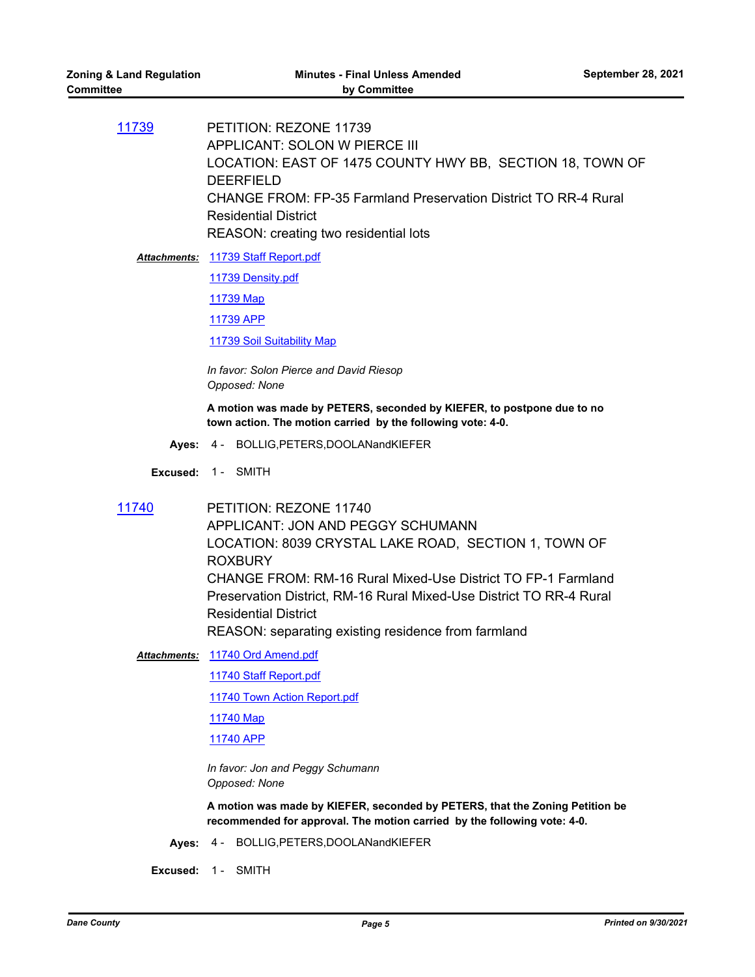[11739](http://dane.legistar.com/gateway.aspx?m=l&id=/matter.aspx?key=20583) PETITION: REZONE 11739 APPLICANT: SOLON W PIERCE III LOCATION: EAST OF 1475 COUNTY HWY BB, SECTION 18, TOWN OF DEERFIELD CHANGE FROM: FP-35 Farmland Preservation District TO RR-4 Rural Residential District REASON: creating two residential lots

Attachments: [11739 Staff Report.pdf](http://dane.legistar.com/gateway.aspx?M=F&ID=f70f9c28-3a3c-4ee6-88db-9065726e57ac.pdf)

[11739 Density.pdf](http://dane.legistar.com/gateway.aspx?M=F&ID=d360de2c-ebe3-4c43-9d88-7aa3ad2c057e.pdf)

[11739 Map](http://dane.legistar.com/gateway.aspx?M=F&ID=fcb8d16e-842d-4eba-a23c-7febe3d7c145.pdf)

[11739 APP](http://dane.legistar.com/gateway.aspx?M=F&ID=0a121125-93c2-4105-a6f9-72d62645e90e.pdf)

[11739 Soil Suitability Map](http://dane.legistar.com/gateway.aspx?M=F&ID=55ae32d4-7985-4949-9bb5-9222af7b0b6d.pdf)

*In favor: Solon Pierce and David Riesop Opposed: None*

**A motion was made by PETERS, seconded by KIEFER, to postpone due to no town action. The motion carried by the following vote: 4-0.**

**Ayes:** 4 - BOLLIG,PETERS,DOOLANandKIEFER

**Excused:** 1 - SMITH

[11740](http://dane.legistar.com/gateway.aspx?m=l&id=/matter.aspx?key=20584) PETITION: REZONE 11740 APPLICANT: JON AND PEGGY SCHUMANN LOCATION: 8039 CRYSTAL LAKE ROAD, SECTION 1, TOWN OF ROXBURY CHANGE FROM: RM-16 Rural Mixed-Use District TO FP-1 Farmland Preservation District, RM-16 Rural Mixed-Use District TO RR-4 Rural Residential District REASON: separating existing residence from farmland

[11740 Ord Amend.pdf](http://dane.legistar.com/gateway.aspx?M=F&ID=e3836c9b-bc6f-4847-8e90-06de1dab24a4.pdf) *Attachments:*

[11740 Staff Report.pdf](http://dane.legistar.com/gateway.aspx?M=F&ID=e6012026-2f8a-48e6-ac6c-4dd6b19a4d30.pdf)

[11740 Town Action Report.pdf](http://dane.legistar.com/gateway.aspx?M=F&ID=0cc6e4c6-c63d-4707-b922-a678413d08fd.pdf)

[11740 Map](http://dane.legistar.com/gateway.aspx?M=F&ID=2ab4dae8-feff-4c17-9c82-3c59ffe71427.pdf)

[11740 APP](http://dane.legistar.com/gateway.aspx?M=F&ID=b095ced4-fb58-410f-9c4a-ebf0a0982f20.pdf)

*In favor: Jon and Peggy Schumann Opposed: None*

**A motion was made by KIEFER, seconded by PETERS, that the Zoning Petition be recommended for approval. The motion carried by the following vote: 4-0.**

**Ayes:** 4 - BOLLIG,PETERS,DOOLANandKIEFER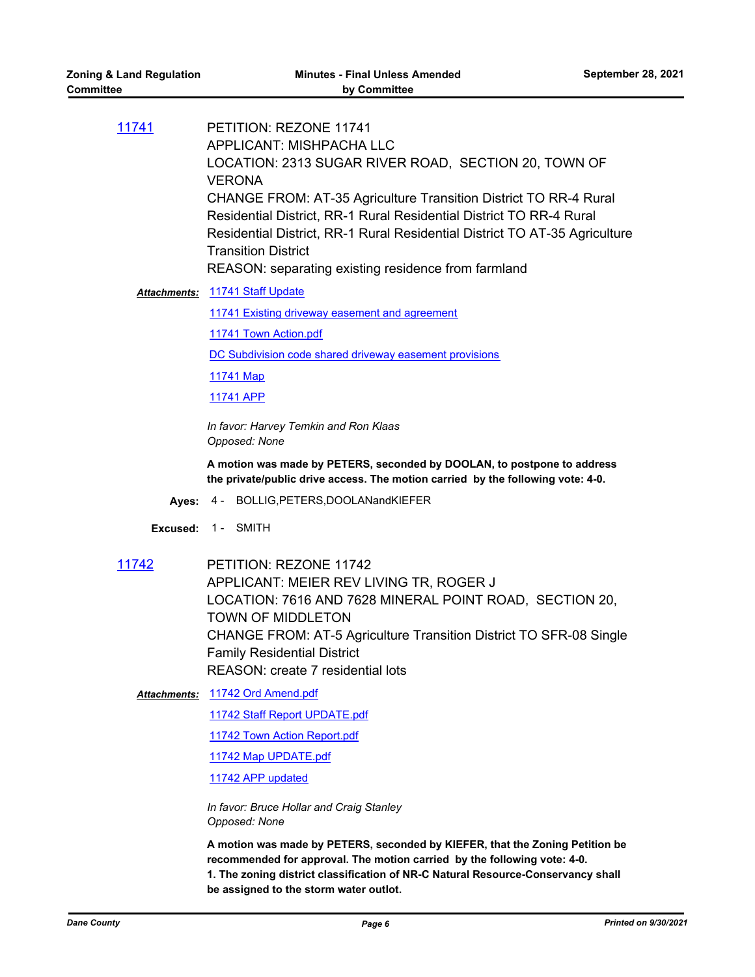| 11741               | PETITION: REZONE 11741<br><b>APPLICANT: MISHPACHA LLC</b><br>LOCATION: 2313 SUGAR RIVER ROAD, SECTION 20, TOWN OF<br><b>VERONA</b><br><b>CHANGE FROM: AT-35 Agriculture Transition District TO RR-4 Rural</b><br>Residential District, RR-1 Rural Residential District TO RR-4 Rural<br>Residential District, RR-1 Rural Residential District TO AT-35 Agriculture<br><b>Transition District</b><br>REASON: separating existing residence from farmland |
|---------------------|---------------------------------------------------------------------------------------------------------------------------------------------------------------------------------------------------------------------------------------------------------------------------------------------------------------------------------------------------------------------------------------------------------------------------------------------------------|
|                     | Attachments: 11741 Staff Update                                                                                                                                                                                                                                                                                                                                                                                                                         |
|                     | 11741 Existing driveway easement and agreement                                                                                                                                                                                                                                                                                                                                                                                                          |
|                     | 11741 Town Action.pdf                                                                                                                                                                                                                                                                                                                                                                                                                                   |
|                     | DC Subdivision code shared driveway easement provisions                                                                                                                                                                                                                                                                                                                                                                                                 |
|                     | 11741 Map                                                                                                                                                                                                                                                                                                                                                                                                                                               |
|                     | 11741 APP                                                                                                                                                                                                                                                                                                                                                                                                                                               |
|                     | In favor: Harvey Temkin and Ron Klaas<br>Opposed: None                                                                                                                                                                                                                                                                                                                                                                                                  |
|                     | A motion was made by PETERS, seconded by DOOLAN, to postpone to address<br>the private/public drive access. The motion carried by the following vote: 4-0.                                                                                                                                                                                                                                                                                              |
|                     | Ayes: 4 - BOLLIG, PETERS, DOOLANandKIEFER                                                                                                                                                                                                                                                                                                                                                                                                               |
|                     | Excused: 1- SMITH                                                                                                                                                                                                                                                                                                                                                                                                                                       |
| 11742               | PETITION: REZONE 11742                                                                                                                                                                                                                                                                                                                                                                                                                                  |
|                     | APPLICANT: MEIER REV LIVING TR, ROGER J<br>LOCATION: 7616 AND 7628 MINERAL POINT ROAD, SECTION 20,                                                                                                                                                                                                                                                                                                                                                      |
|                     | <b>TOWN OF MIDDLETON</b>                                                                                                                                                                                                                                                                                                                                                                                                                                |
|                     | <b>CHANGE FROM: AT-5 Agriculture Transition District TO SFR-08 Single</b>                                                                                                                                                                                                                                                                                                                                                                               |
|                     | <b>Family Residential District</b>                                                                                                                                                                                                                                                                                                                                                                                                                      |
|                     | REASON: create 7 residential lots                                                                                                                                                                                                                                                                                                                                                                                                                       |
| <b>Attachments:</b> | 11742 Ord Amend.pdf                                                                                                                                                                                                                                                                                                                                                                                                                                     |
|                     | 11742 Staff Report UPDATE.pdf                                                                                                                                                                                                                                                                                                                                                                                                                           |
|                     | 11742 Town Action Report.pdf                                                                                                                                                                                                                                                                                                                                                                                                                            |
|                     | 11742 Map UPDATE.pdf                                                                                                                                                                                                                                                                                                                                                                                                                                    |
|                     | 11742 APP updated                                                                                                                                                                                                                                                                                                                                                                                                                                       |
|                     |                                                                                                                                                                                                                                                                                                                                                                                                                                                         |

*In favor: Bruce Hollar and Craig Stanley Opposed: None*

**A motion was made by PETERS, seconded by KIEFER, that the Zoning Petition be recommended for approval. The motion carried by the following vote: 4-0. 1. The zoning district classification of NR-C Natural Resource-Conservancy shall be assigned to the storm water outlot.**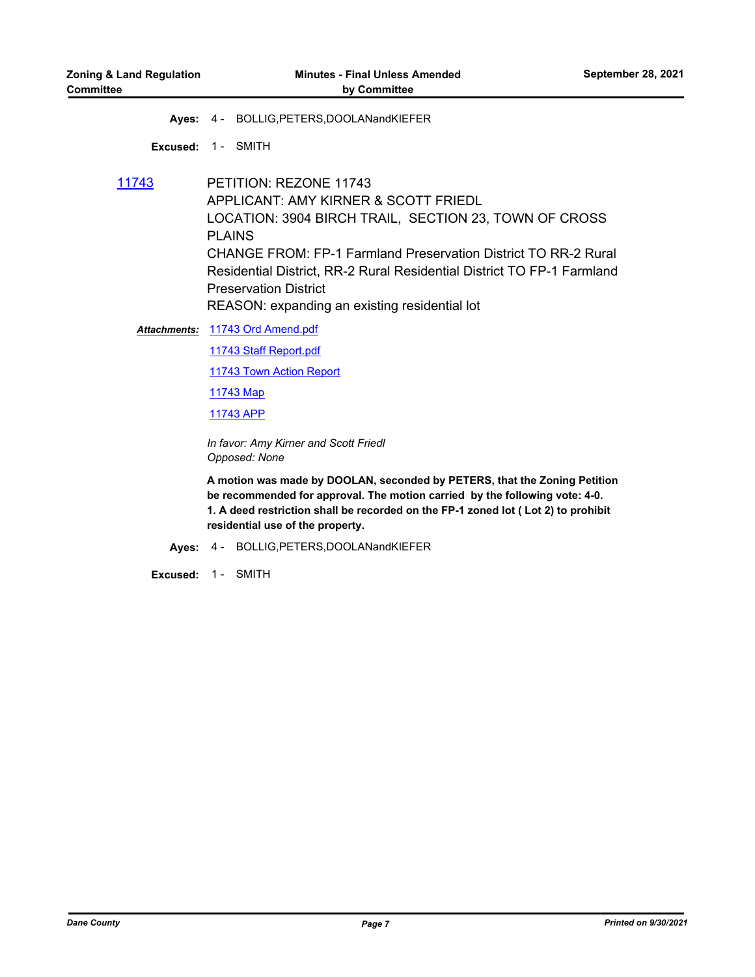**Ayes:** 4 - BOLLIG,PETERS,DOOLANandKIEFER

**Excused:** 1 - SMITH

[11743](http://dane.legistar.com/gateway.aspx?m=l&id=/matter.aspx?key=20587) PETITION: REZONE 11743 APPLICANT: AMY KIRNER & SCOTT FRIEDL LOCATION: 3904 BIRCH TRAIL, SECTION 23, TOWN OF CROSS PLAINS CHANGE FROM: FP-1 Farmland Preservation District TO RR-2 Rural Residential District, RR-2 Rural Residential District TO FP-1 Farmland Preservation District REASON: expanding an existing residential lot

[11743 Ord Amend.pdf](http://dane.legistar.com/gateway.aspx?M=F&ID=0dd6b4cd-7cd8-411e-93ec-f28c78866b01.pdf) *Attachments:*

[11743 Staff Report.pdf](http://dane.legistar.com/gateway.aspx?M=F&ID=ef77d683-0a65-4bc1-b61a-6fdec9485480.pdf)

[11743 Town Action Report](http://dane.legistar.com/gateway.aspx?M=F&ID=e22b2ecb-1d30-4a09-8214-85921759e275.pdf)

[11743 Map](http://dane.legistar.com/gateway.aspx?M=F&ID=3f1fbba5-035d-4746-8196-4dac20a6e66d.pdf)

[11743 APP](http://dane.legistar.com/gateway.aspx?M=F&ID=66f57425-6b86-441b-9a51-490239ca41ee.pdf)

*In favor: Amy Kirner and Scott Friedl Opposed: None*

**A motion was made by DOOLAN, seconded by PETERS, that the Zoning Petition be recommended for approval. The motion carried by the following vote: 4-0. 1. A deed restriction shall be recorded on the FP-1 zoned lot ( Lot 2) to prohibit residential use of the property.**

**Ayes:** 4 - BOLLIG,PETERS,DOOLANandKIEFER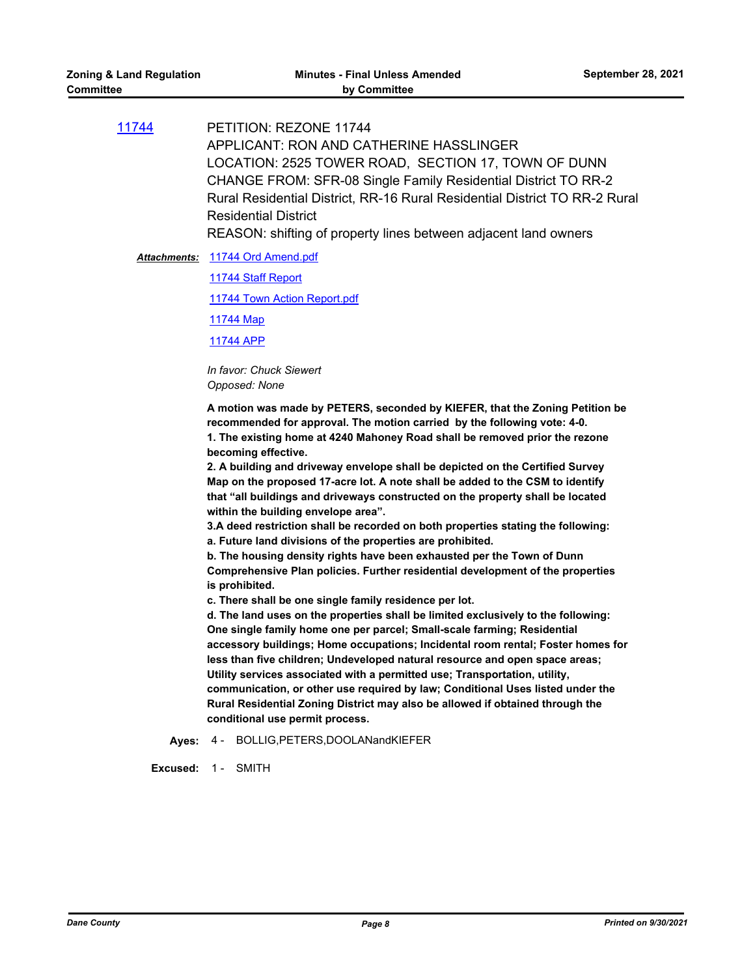[11744](http://dane.legistar.com/gateway.aspx?m=l&id=/matter.aspx?key=20588) PETITION: REZONE 11744 APPLICANT: RON AND CATHERINE HASSLINGER LOCATION: 2525 TOWER ROAD, SECTION 17, TOWN OF DUNN CHANGE FROM: SFR-08 Single Family Residential District TO RR-2 Rural Residential District, RR-16 Rural Residential District TO RR-2 Rural Residential District REASON: shifting of property lines between adjacent land owners

Attachments: [11744 Ord Amend.pdf](http://dane.legistar.com/gateway.aspx?M=F&ID=fa6ebe8b-99d5-4eb9-9989-b39b295f478e.pdf)

[11744 Staff Report](http://dane.legistar.com/gateway.aspx?M=F&ID=9ec264f0-e76c-46fa-9395-69e57d77ebfe.pdf)

[11744 Town Action Report.pdf](http://dane.legistar.com/gateway.aspx?M=F&ID=24620bbb-1cbc-4b0c-8b64-4edea0c9f673.pdf)

[11744 Map](http://dane.legistar.com/gateway.aspx?M=F&ID=1aaab67c-3cf6-4ebc-a16f-8e7ac1d0ab3d.pdf)

[11744 APP](http://dane.legistar.com/gateway.aspx?M=F&ID=d602e618-3790-4c98-b93e-bd401cd7ffa0.pdf)

*In favor: Chuck Siewert Opposed: None*

**A motion was made by PETERS, seconded by KIEFER, that the Zoning Petition be recommended for approval. The motion carried by the following vote: 4-0. 1. The existing home at 4240 Mahoney Road shall be removed prior the rezone** 

**becoming effective.**

**2. A building and driveway envelope shall be depicted on the Certified Survey Map on the proposed 17-acre lot. A note shall be added to the CSM to identify that "all buildings and driveways constructed on the property shall be located within the building envelope area".**

**3.A deed restriction shall be recorded on both properties stating the following: a. Future land divisions of the properties are prohibited.**

**b. The housing density rights have been exhausted per the Town of Dunn Comprehensive Plan policies. Further residential development of the properties is prohibited.**

**c. There shall be one single family residence per lot.**

**d. The land uses on the properties shall be limited exclusively to the following: One single family home one per parcel; Small-scale farming; Residential accessory buildings; Home occupations; Incidental room rental; Foster homes for less than five children; Undeveloped natural resource and open space areas; Utility services associated with a permitted use; Transportation, utility, communication, or other use required by law; Conditional Uses listed under the Rural Residential Zoning District may also be allowed if obtained through the conditional use permit process.**

**Ayes:** 4 - BOLLIG,PETERS,DOOLANandKIEFER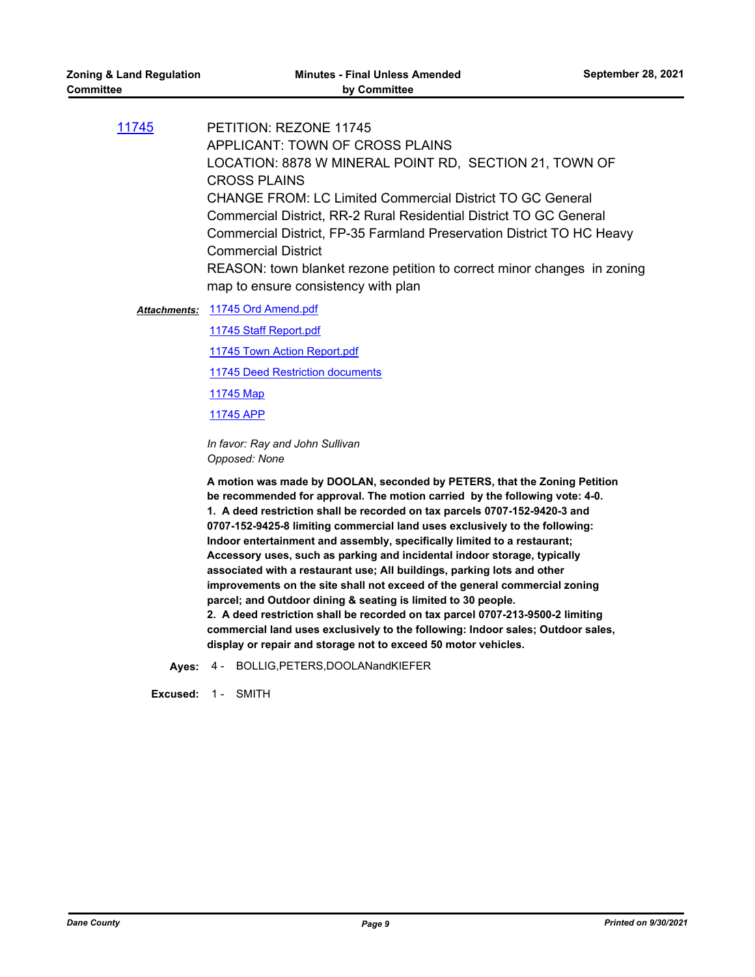[11745](http://dane.legistar.com/gateway.aspx?m=l&id=/matter.aspx?key=20589) PETITION: REZONE 11745 APPLICANT: TOWN OF CROSS PLAINS LOCATION: 8878 W MINERAL POINT RD, SECTION 21, TOWN OF CROSS PLAINS CHANGE FROM: LC Limited Commercial District TO GC General Commercial District, RR-2 Rural Residential District TO GC General Commercial District, FP-35 Farmland Preservation District TO HC Heavy Commercial District REASON: town blanket rezone petition to correct minor changes in zoning map to ensure consistency with plan

Attachments: [11745 Ord Amend.pdf](http://dane.legistar.com/gateway.aspx?M=F&ID=5f92ae26-810a-40cb-95b8-597adee133e4.pdf)

[11745 Staff Report.pdf](http://dane.legistar.com/gateway.aspx?M=F&ID=e33a6b9a-3dfd-4226-b038-0887586e2e70.pdf)

[11745 Town Action Report.pdf](http://dane.legistar.com/gateway.aspx?M=F&ID=2227dbd6-ac88-41b3-b6bf-ea5e66f3bc65.pdf)

**[11745 Deed Restriction documents](http://dane.legistar.com/gateway.aspx?M=F&ID=d34ba10c-3dfc-47a2-ba36-1479f7f82085.pdf)** 

[11745 Map](http://dane.legistar.com/gateway.aspx?M=F&ID=30f40bb9-a8ca-4b63-85b9-1ddd90c05054.pdf)

[11745 APP](http://dane.legistar.com/gateway.aspx?M=F&ID=3b3747df-30d8-4cf2-b52f-1cf734570f0e.pdf)

*In favor: Ray and John Sullivan Opposed: None*

**A motion was made by DOOLAN, seconded by PETERS, that the Zoning Petition be recommended for approval. The motion carried by the following vote: 4-0. 1. A deed restriction shall be recorded on tax parcels 0707-152-9420-3 and 0707-152-9425-8 limiting commercial land uses exclusively to the following: Indoor entertainment and assembly, specifically limited to a restaurant; Accessory uses, such as parking and incidental indoor storage, typically associated with a restaurant use; All buildings, parking lots and other improvements on the site shall not exceed of the general commercial zoning parcel; and Outdoor dining & seating is limited to 30 people. 2. A deed restriction shall be recorded on tax parcel 0707-213-9500-2 limiting commercial land uses exclusively to the following: Indoor sales; Outdoor sales, display or repair and storage not to exceed 50 motor vehicles.**

**Ayes:** 4 - BOLLIG,PETERS,DOOLANandKIEFER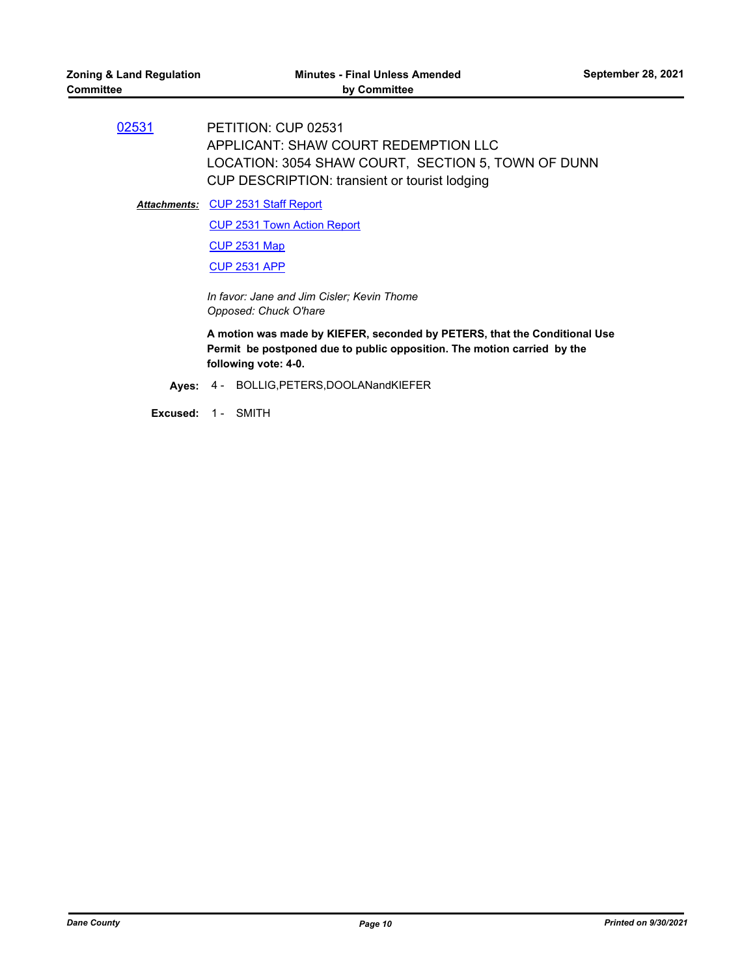[02531](http://dane.legistar.com/gateway.aspx?m=l&id=/matter.aspx?key=20590) PETITION: CUP 02531 APPLICANT: SHAW COURT REDEMPTION LLC LOCATION: 3054 SHAW COURT, SECTION 5, TOWN OF DUNN CUP DESCRIPTION: transient or tourist lodging

Attachments: [CUP 2531 Staff Report](http://dane.legistar.com/gateway.aspx?M=F&ID=d6e3b08d-0b28-4d03-b22c-39766193ad8a.pdf)

[CUP 2531 Town Action Report](http://dane.legistar.com/gateway.aspx?M=F&ID=aa9d6d19-a868-4190-a302-10fd07056e03.pdf)

[CUP 2531 Map](http://dane.legistar.com/gateway.aspx?M=F&ID=0a0b0a24-89cc-43b0-bdfa-6a15c1a74b14.pdf)

[CUP 2531 APP](http://dane.legistar.com/gateway.aspx?M=F&ID=8736797d-840c-4e83-87b8-60a2c7b28be8.pdf)

*In favor: Jane and Jim Cisler; Kevin Thome Opposed: Chuck O'hare*

**A motion was made by KIEFER, seconded by PETERS, that the Conditional Use Permit be postponed due to public opposition. The motion carried by the following vote: 4-0.**

**Ayes:** 4 - BOLLIG,PETERS,DOOLANandKIEFER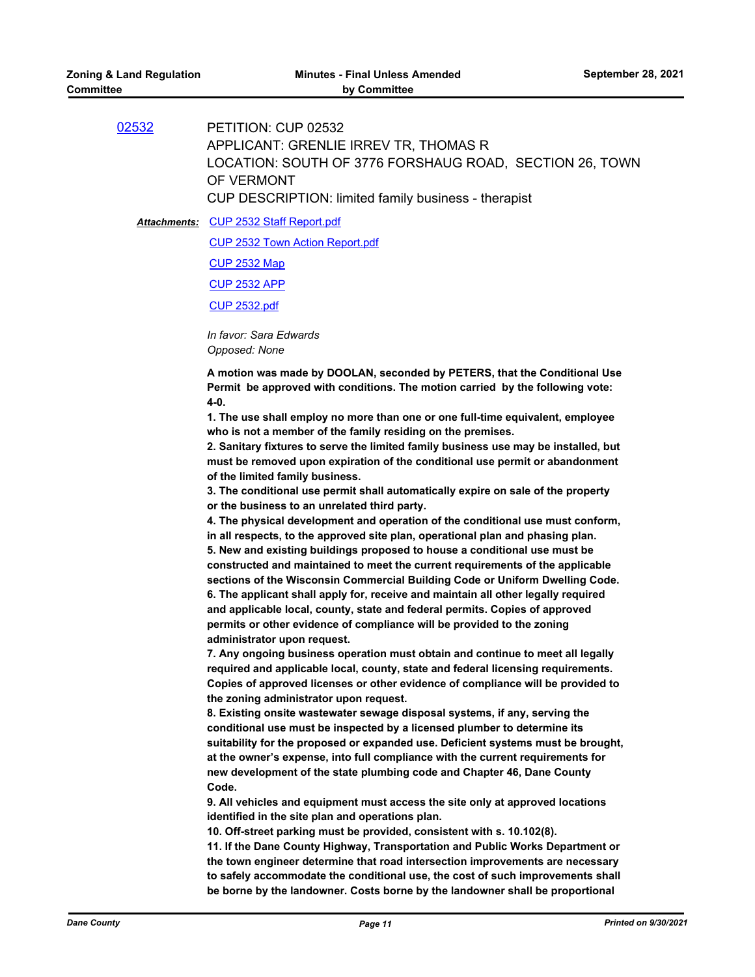[02532](http://dane.legistar.com/gateway.aspx?m=l&id=/matter.aspx?key=20591) PETITION: CUP 02532 APPLICANT: GRENLIE IRREV TR, THOMAS R LOCATION: SOUTH OF 3776 FORSHAUG ROAD, SECTION 26, TOWN OF VERMONT CUP DESCRIPTION: limited family business - therapist

Attachments: [CUP 2532 Staff Report.pdf](http://dane.legistar.com/gateway.aspx?M=F&ID=79a04be3-38ee-4c4f-8628-f266aaa5bc76.pdf)

[CUP 2532 Town Action Report.pdf](http://dane.legistar.com/gateway.aspx?M=F&ID=961f579d-3366-406b-a879-e9c9907d2811.pdf)

[CUP 2532 Map](http://dane.legistar.com/gateway.aspx?M=F&ID=be5fdc3c-d13b-48a6-89ed-dd779c83cb33.pdf)

[CUP 2532 APP](http://dane.legistar.com/gateway.aspx?M=F&ID=49dc1739-a891-47c3-8d44-275d4673d657.pdf)

[CUP 2532.pdf](http://dane.legistar.com/gateway.aspx?M=F&ID=cf23fd90-0061-4a25-b12e-bd5eb290fb98.pdf)

*In favor: Sara Edwards Opposed: None*

**A motion was made by DOOLAN, seconded by PETERS, that the Conditional Use Permit be approved with conditions. The motion carried by the following vote: 4-0.**

**1. The use shall employ no more than one or one full-time equivalent, employee who is not a member of the family residing on the premises.**

**2. Sanitary fixtures to serve the limited family business use may be installed, but must be removed upon expiration of the conditional use permit or abandonment of the limited family business.**

**3. The conditional use permit shall automatically expire on sale of the property or the business to an unrelated third party.**

**4. The physical development and operation of the conditional use must conform, in all respects, to the approved site plan, operational plan and phasing plan. 5. New and existing buildings proposed to house a conditional use must be constructed and maintained to meet the current requirements of the applicable sections of the Wisconsin Commercial Building Code or Uniform Dwelling Code. 6. The applicant shall apply for, receive and maintain all other legally required and applicable local, county, state and federal permits. Copies of approved permits or other evidence of compliance will be provided to the zoning administrator upon request.**

**7. Any ongoing business operation must obtain and continue to meet all legally required and applicable local, county, state and federal licensing requirements. Copies of approved licenses or other evidence of compliance will be provided to the zoning administrator upon request.**

**8. Existing onsite wastewater sewage disposal systems, if any, serving the conditional use must be inspected by a licensed plumber to determine its suitability for the proposed or expanded use. Deficient systems must be brought, at the owner's expense, into full compliance with the current requirements for new development of the state plumbing code and Chapter 46, Dane County Code.**

**9. All vehicles and equipment must access the site only at approved locations identified in the site plan and operations plan.**

**10. Off-street parking must be provided, consistent with s. 10.102(8).**

**11. If the Dane County Highway, Transportation and Public Works Department or the town engineer determine that road intersection improvements are necessary to safely accommodate the conditional use, the cost of such improvements shall be borne by the landowner. Costs borne by the landowner shall be proportional**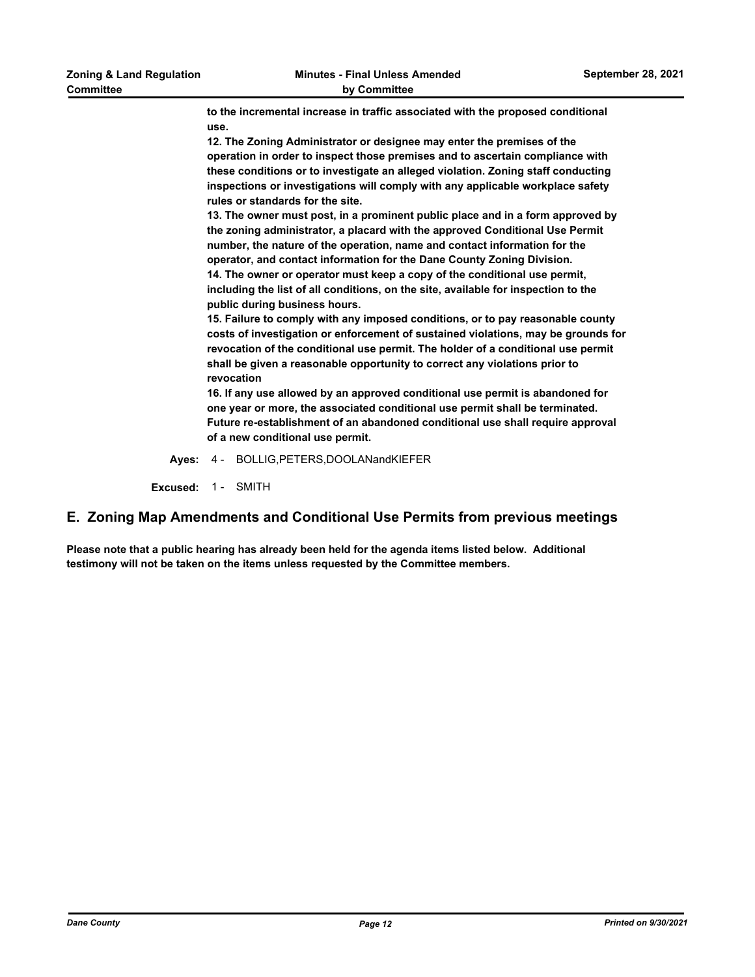**to the incremental increase in traffic associated with the proposed conditional use.**

**12. The Zoning Administrator or designee may enter the premises of the operation in order to inspect those premises and to ascertain compliance with these conditions or to investigate an alleged violation. Zoning staff conducting inspections or investigations will comply with any applicable workplace safety rules or standards for the site.**

**13. The owner must post, in a prominent public place and in a form approved by the zoning administrator, a placard with the approved Conditional Use Permit number, the nature of the operation, name and contact information for the operator, and contact information for the Dane County Zoning Division. 14. The owner or operator must keep a copy of the conditional use permit, including the list of all conditions, on the site, available for inspection to the public during business hours.**

**15. Failure to comply with any imposed conditions, or to pay reasonable county costs of investigation or enforcement of sustained violations, may be grounds for revocation of the conditional use permit. The holder of a conditional use permit shall be given a reasonable opportunity to correct any violations prior to revocation** 

**16. If any use allowed by an approved conditional use permit is abandoned for one year or more, the associated conditional use permit shall be terminated. Future re-establishment of an abandoned conditional use shall require approval of a new conditional use permit.**

**Ayes:** 4 - BOLLIG,PETERS,DOOLANandKIEFER

**Excused:** 1 - SMITH

### **E. Zoning Map Amendments and Conditional Use Permits from previous meetings**

**Please note that a public hearing has already been held for the agenda items listed below. Additional testimony will not be taken on the items unless requested by the Committee members.**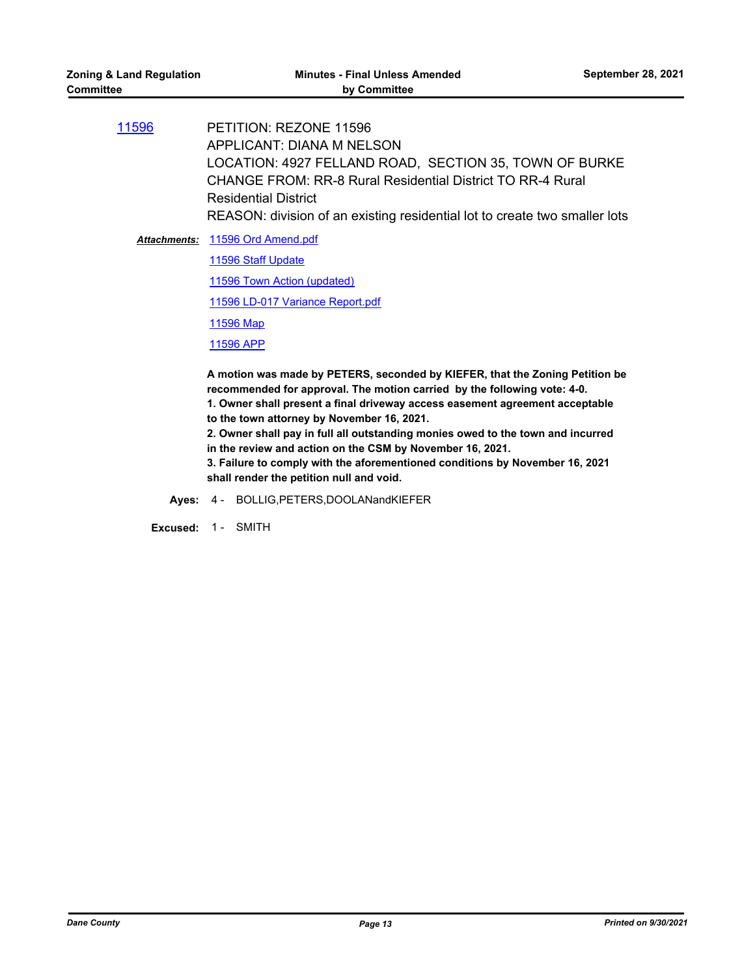[11596](http://dane.legistar.com/gateway.aspx?m=l&id=/matter.aspx?key=18120) PETITION: REZONE 11596 APPLICANT: DIANA M NELSON LOCATION: 4927 FELLAND ROAD, SECTION 35, TOWN OF BURKE CHANGE FROM: RR-8 Rural Residential District TO RR-4 Rural Residential District REASON: division of an existing residential lot to create two smaller lots

Attachments: [11596 Ord Amend.pdf](http://dane.legistar.com/gateway.aspx?M=F&ID=2138ed10-0dfe-4176-ad89-1ac39fed9242.pdf)

[11596 Staff Update](http://dane.legistar.com/gateway.aspx?M=F&ID=303a730b-d60a-4207-8920-bd7c41793fff.pdf)

[11596 Town Action \(updated\)](http://dane.legistar.com/gateway.aspx?M=F&ID=63afe2f7-b91c-45aa-aac2-fa4b99878a47.pdf)

[11596 LD-017 Variance Report.pdf](http://dane.legistar.com/gateway.aspx?M=F&ID=eb447fa5-47c8-4975-a200-f7e1add1de51.pdf)

[11596 Map](http://dane.legistar.com/gateway.aspx?M=F&ID=bcfc7770-0f91-4b95-9571-a6b3d6dcb94a.pdf)

[11596 APP](http://dane.legistar.com/gateway.aspx?M=F&ID=18463201-fbe5-468f-86ec-7fa967cacc57.pdf)

**A motion was made by PETERS, seconded by KIEFER, that the Zoning Petition be recommended for approval. The motion carried by the following vote: 4-0. 1. Owner shall present a final driveway access easement agreement acceptable** 

**to the town attorney by November 16, 2021.** 

**2. Owner shall pay in full all outstanding monies owed to the town and incurred in the review and action on the CSM by November 16, 2021.** 

**3. Failure to comply with the aforementioned conditions by November 16, 2021 shall render the petition null and void.**

**Ayes:** 4 - BOLLIG,PETERS,DOOLANandKIEFER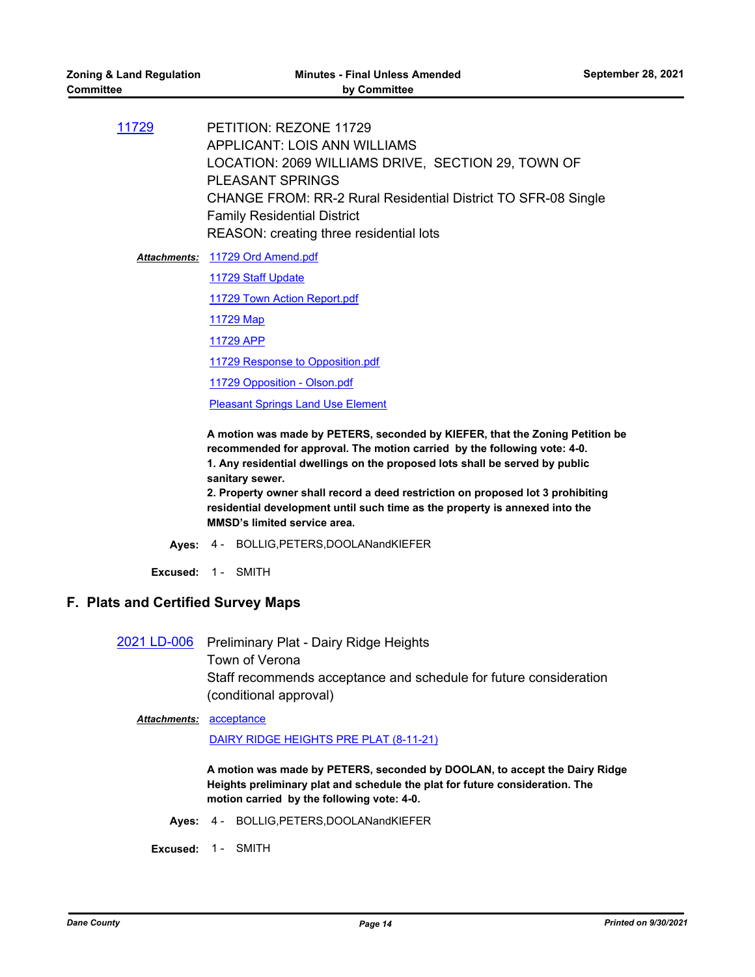| 11729 | PETITION: REZONE 11729                                               |
|-------|----------------------------------------------------------------------|
|       | APPLICANT: LOIS ANN WILLIAMS                                         |
|       | LOCATION: 2069 WILLIAMS DRIVE, SECTION 29, TOWN OF                   |
|       | <b>PLEASANT SPRINGS</b>                                              |
|       | <b>CHANGE FROM: RR-2 Rural Residential District TO SFR-08 Single</b> |
|       | <b>Family Residential District</b>                                   |
|       | REASON: creating three residential lots                              |

Attachments: [11729 Ord Amend.pdf](http://dane.legistar.com/gateway.aspx?M=F&ID=5ea3a117-c160-4d6e-b0ee-e360c9eb2b1a.pdf) [11729 Staff Update](http://dane.legistar.com/gateway.aspx?M=F&ID=f92014aa-e154-4fb0-bc63-66e2207d9b70.pdf) [11729 Town Action Report.pdf](http://dane.legistar.com/gateway.aspx?M=F&ID=0adc6196-8736-4a3a-a90d-64a00a1e4e92.pdf) [11729 Map](http://dane.legistar.com/gateway.aspx?M=F&ID=9413bc16-38a0-40bf-b726-8078258333f0.pdf) [11729 APP](http://dane.legistar.com/gateway.aspx?M=F&ID=1bc24eac-e9af-4ad3-90f0-9e21b3943f3c.pdf) [11729 Response to Opposition.pdf](http://dane.legistar.com/gateway.aspx?M=F&ID=d86b51d2-df6c-4080-90b0-82c33e33c3e1.pdf) [11729 Opposition - Olson.pdf](http://dane.legistar.com/gateway.aspx?M=F&ID=baf85c0d-7d64-4cd7-a1ee-dbe4ae79e04b.pdf) [Pleasant Springs Land Use Element](http://dane.legistar.com/gateway.aspx?M=F&ID=45998533-d895-47f8-8050-5f0818a19efa.pdf)

> **A motion was made by PETERS, seconded by KIEFER, that the Zoning Petition be recommended for approval. The motion carried by the following vote: 4-0. 1. Any residential dwellings on the proposed lots shall be served by public sanitary sewer.**

**2. Property owner shall record a deed restriction on proposed lot 3 prohibiting residential development until such time as the property is annexed into the MMSD's limited service area.**

**Ayes:** 4 - BOLLIG,PETERS,DOOLANandKIEFER

**Excused:** 1 - SMITH

### **F. Plats and Certified Survey Maps**

[2021 LD-006](http://dane.legistar.com/gateway.aspx?m=l&id=/matter.aspx?key=21020) Preliminary Plat - Dairy Ridge Heights

Town of Verona

Staff recommends acceptance and schedule for future consideration (conditional approval)

#### Attachments: [acceptance](http://dane.legistar.com/gateway.aspx?M=F&ID=ba4b72d2-a496-42d6-a5ae-4f980bf9080d.pdf)

#### [DAIRY RIDGE HEIGHTS PRE PLAT \(8-11-21\)](http://dane.legistar.com/gateway.aspx?M=F&ID=ab914f3b-51cb-468a-8d40-3bbeafcc738f.pdf)

**A motion was made by PETERS, seconded by DOOLAN, to accept the Dairy Ridge Heights preliminary plat and schedule the plat for future consideration. The motion carried by the following vote: 4-0.**

**Ayes:** 4 - BOLLIG,PETERS,DOOLANandKIEFER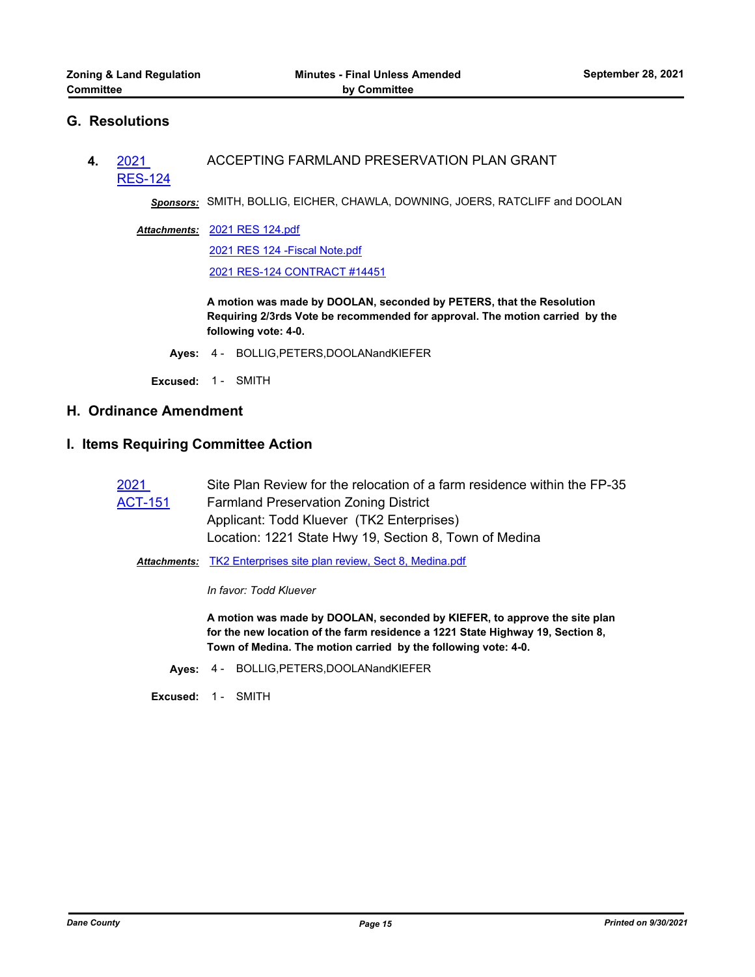### **G. Resolutions**

#### **4.** 2021 ACCEPTING FARMLAND PRESERVATION PLAN GRANT

[RES-124](http://dane.legistar.com/gateway.aspx?m=l&id=/matter.aspx?key=20752)

*Sponsors:* SMITH, BOLLIG, EICHER, CHAWLA, DOWNING, JOERS, RATCLIFF and DOOLAN

[2021 RES 124.pdf](http://dane.legistar.com/gateway.aspx?M=F&ID=5051c403-a9e9-4e8a-b69d-0d56c9aaa2fe.pdf) *Attachments:*

[2021 RES 124 -Fiscal Note.pdf](http://dane.legistar.com/gateway.aspx?M=F&ID=9fba0ca4-0538-4ed4-9895-754530d41d1d.pdf)

[2021 RES-124 CONTRACT #14451](http://dane.legistar.com/gateway.aspx?M=F&ID=2f446bc7-4e1a-438b-8b29-47975ee654f6.pdf)

**A motion was made by DOOLAN, seconded by PETERS, that the Resolution Requiring 2/3rds Vote be recommended for approval. The motion carried by the following vote: 4-0.**

**Ayes:** 4 - BOLLIG,PETERS,DOOLANandKIEFER

**Excused:** 1 - SMITH

## **H. Ordinance Amendment**

#### **I. Items Requiring Committee Action**

| 2021           | Site Plan Review for the relocation of a farm residence within the FP-35 |
|----------------|--------------------------------------------------------------------------|
| <b>ACT-151</b> | <b>Farmland Preservation Zoning District</b>                             |
|                | Applicant: Todd Kluever (TK2 Enterprises)                                |
|                | Location: 1221 State Hwy 19, Section 8, Town of Medina                   |

*Attachments:* [TK2 Enterprises site plan review, Sect 8, Medina.pdf](http://dane.legistar.com/gateway.aspx?M=F&ID=0a8fb821-862f-4081-a92e-d1a087545618.pdf)

*In favor: Todd Kluever*

**A motion was made by DOOLAN, seconded by KIEFER, to approve the site plan for the new location of the farm residence a 1221 State Highway 19, Section 8, Town of Medina. The motion carried by the following vote: 4-0.**

**Ayes:** 4 - BOLLIG,PETERS,DOOLANandKIEFER